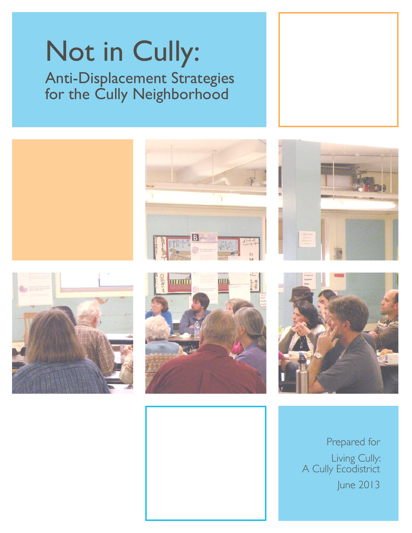# Not in Cully: Anti-Displacement Strategies for the Cully Neighborhood













Prepared for Living Cully: A Cully Ecodistrict June 2013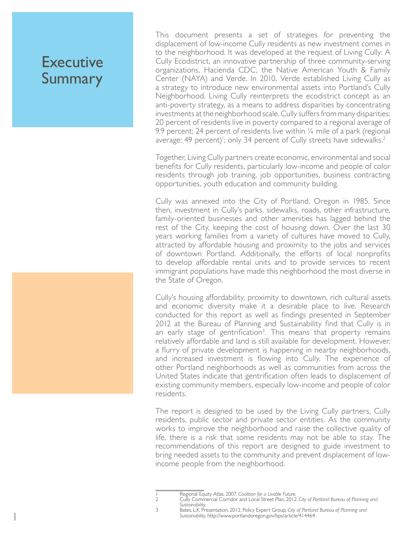# **Executive** Summary

1

This document presents a set of strategies for preventing the displacement of low-income Cully residents as new investment comes in to the neighborhood. It was developed at the request of Living Cully: A Cully Ecodistrict, an innovative partnership of three community-serving organizations, Hacienda CDC, the Native American Youth & Family Center (NAYA) and Verde. In 2010, Verde established Living Cully as a strategy to introduce new environmental assets into Portland's Cully Neighborhood. Living Cully reinterprets the ecodistrict concept as an anti-poverty strategy, as a means to address disparities by concentrating investments at the neighborhood scale. Cully suffers from many disparities: 20 percent of residents live in poverty compared to a regional average of 9.9 percent; 24 percent of residents live within  $\frac{1}{4}$  mile of a park (regional average: 49 percent)'; only 34 percent of Cully streets have sidewalks.<sup>2</sup>

Together, Living Cully partners create economic, environmental and social benefits for Cully residents, particularly low-income and people of color residents through job training, job opportunities, business contracting opportunities, youth education and community building.

Cully was annexed into the City of Portland, Oregon in 1985. Since then, investment in Cully's parks, sidewalks, roads, other infrastructure, family-oriented businesses and other amenities has lagged behind the rest of the City, keeping the cost of housing down. Over the last 30 years working families from a variety of cultures have moved to Cully, attracted by affordable housing and proximity to the jobs and services of downtown Portland. Additionally, the efforts of local nonprofits to develop affordable rental units and to provide services to recent immigrant populations have made this neighborhood the most diverse in the State of Oregon.

Cully's housing affordability, proximity to downtown, rich cultural assets and economic diversity make it a desirable place to live. Research conducted for this report as well as findings presented in September 2012 at the Bureau of Planning and Sustainability find that Cully is in an early stage of gentrification<sup>3</sup>. This means that property remains relatively affordable and land is still available for development. However, a flurry of private development is happening in nearby neighborhoods, and increased investment is flowing into Cully. The experience of other Portland neighborhoods as well as communities from across the United States indicate that gentrification often leads to displacement of existing community members, especially low-income and people of color residents.

The report is designed to be used by the Living Cully partners, Cully residents, public sector and private sector entities. As the community works to improve the neighborhood and raise the collective quality of life, there is a risk that some residents may not be able to stay. The recommendations of this report are designed to guide investment to bring needed assets to the community and prevent displacement of lowincome people from the neighborhood.

<sup>1</sup> Regional Equity Atlas, 2007. *Coalition for a Livable Future.*

<sup>2</sup> Cully Commercial Corridor and Local Street Plan, 2012. *City of Portland Bureau of Planning and Sustainability.*

<sup>3</sup> Bates, L.K. Presentation, 2012. Policy Expert Group*, City of Portland Bureau of Planning and Sustainability.* http://www.portlandoregon.gov/bps/article/414464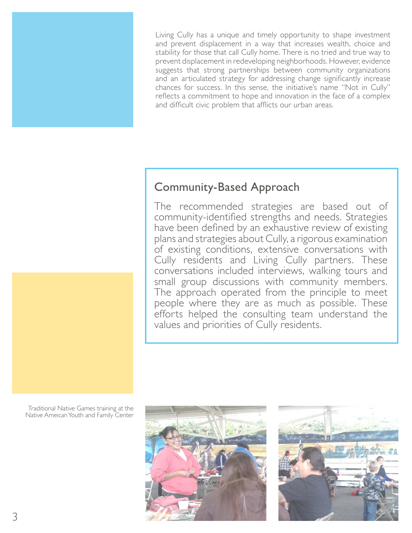Living Cully has a unique and timely opportunity to shape investment and prevent displacement in a way that increases wealth, choice and stability for those that call Cully home. There is no tried and true way to prevent displacement in redeveloping neighborhoods. However, evidence suggests that strong partnerships between community organizations and an articulated strategy for addressing change significantly increase chances for success. In this sense, the initiative's name "Not in Cully" reflects a commitment to hope and innovation in the face of a complex and difficult civic problem that afflicts our urban areas.

### Community-Based Approach

The recommended strategies are based out of community-identified strengths and needs. Strategies have been defined by an exhaustive review of existing plans and strategies about Cully, a rigorous examination of existing conditions, extensive conversations with Cully residents and Living Cully partners. These conversations included interviews, walking tours and small group discussions with community members. The approach operated from the principle to meet people where they are as much as possible. These efforts helped the consulting team understand the values and priorities of Cully residents.

Traditional Native Games training at the Native Ameican Youth and Family Center





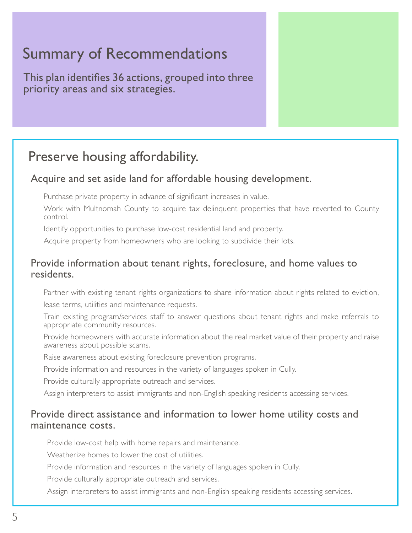# Summary of Recommendations

This plan identifies 36 actions, grouped into three priority areas and six strategies.

# Preserve housing affordability.

#### Acquire and set aside land for affordable housing development.

Purchase private property in advance of significant increases in value.

Work with Multnomah County to acquire tax delinquent properties that have reverted to County control.

Identify opportunities to purchase low-cost residential land and property.

Acquire property from homeowners who are looking to subdivide their lots.

#### Provide information about tenant rights, foreclosure, and home values to residents.

Partner with existing tenant rights organizations to share information about rights related to eviction, lease terms, utilities and maintenance requests.

Train existing program/services staff to answer questions about tenant rights and make referrals to appropriate community resources.

Provide homeowners with accurate information about the real market value of their property and raise awareness about possible scams.

Raise awareness about existing foreclosure prevention programs.

Provide information and resources in the variety of languages spoken in Cully.

Provide culturally appropriate outreach and services.

Assign interpreters to assist immigrants and non-English speaking residents accessing services.

#### Provide direct assistance and information to lower home utility costs and maintenance costs.

Provide low-cost help with home repairs and maintenance.

Weatherize homes to lower the cost of utilities.

Provide information and resources in the variety of languages spoken in Cully.

Provide culturally appropriate outreach and services.

Assign interpreters to assist immigrants and non-English speaking residents accessing services.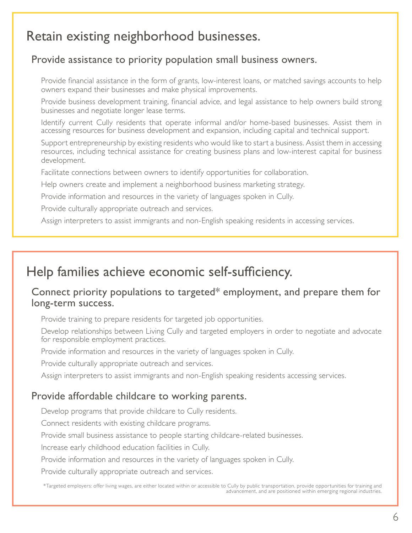## Retain existing neighborhood businesses.

#### Provide assistance to priority population small business owners.

Provide financial assistance in the form of grants, low-interest loans, or matched savings accounts to help owners expand their businesses and make physical improvements.

Provide business development training, financial advice, and legal assistance to help owners build strong businesses and negotiate longer lease terms.

Identify current Cully residents that operate informal and/or home-based businesses. Assist them in accessing resources for business development and expansion, including capital and technical support.

Support entrepreneurship by existing residents who would like to start a business. Assist them in accessing resources, including technical assistance for creating business plans and low-interest capital for business development.

Facilitate connections between owners to identify opportunities for collaboration.

Help owners create and implement a neighborhood business marketing strategy.

Provide information and resources in the variety of languages spoken in Cully.

Provide culturally appropriate outreach and services.

Assign interpreters to assist immigrants and non-English speaking residents in accessing services.

### Help families achieve economic self-sufficiency.

#### Connect priority populations to targeted\* employment, and prepare them for long-term success.

Provide training to prepare residents for targeted job opportunities.

Develop relationships between Living Cully and targeted employers in order to negotiate and advocate for responsible employment practices.

Provide information and resources in the variety of languages spoken in Cully.

Provide culturally appropriate outreach and services.

Assign interpreters to assist immigrants and non-English speaking residents accessing services.

#### Provide affordable childcare to working parents.

Develop programs that provide childcare to Cully residents.

Connect residents with existing childcare programs.

Provide small business assistance to people starting childcare-related businesses.

Increase early childhood education facilities in Cully.

Provide information and resources in the variety of languages spoken in Cully.

Provide culturally appropriate outreach and services.

\*Targeted employers: offer living wages, are either located within or accessible to Cully by public transportation, provide opportunities for training and advancement, and are positioned within emerging regional industries.